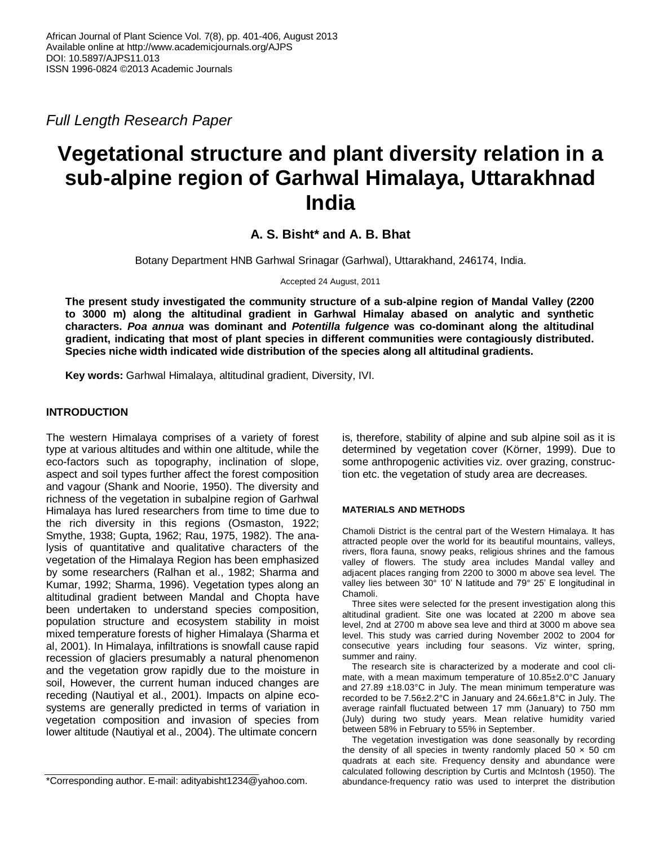*Full Length Research Paper*

# **Vegetational structure and plant diversity relation in a sub-alpine region of Garhwal Himalaya, Uttarakhnad India**

**A. S. Bisht\* and A. B. Bhat**

Botany Department HNB Garhwal Srinagar (Garhwal), Uttarakhand, 246174, India.

Accepted 24 August, 2011

**The present study investigated the community structure of a sub-alpine region of Mandal Valley (2200 to 3000 m) along the altitudinal gradient in Garhwal Himalay abased on analytic and synthetic characters.** *Poa annua* **was dominant and** *Potentilla fulgence* **was co-dominant along the altitudinal gradient, indicating that most of plant species in different communities were contagiously distributed. Species niche width indicated wide distribution of the species along all altitudinal gradients.**

**Key words:** Garhwal Himalaya, altitudinal gradient, Diversity, IVI.

## **INTRODUCTION**

The western Himalaya comprises of a variety of forest type at various altitudes and within one altitude, while the eco-factors such as topography, inclination of slope, aspect and soil types further affect the forest composition and vagour (Shank and Noorie, 1950). The diversity and richness of the vegetation in subalpine region of Garhwal Himalaya has lured researchers from time to time due to the rich diversity in this regions (Osmaston, 1922; Smythe, 1938; Gupta, 1962; Rau, 1975, 1982). The analysis of quantitative and qualitative characters of the vegetation of the Himalaya Region has been emphasized by some researchers (Ralhan et al., 1982; Sharma and Kumar, 1992; Sharma, 1996). Vegetation types along an altitudinal gradient between Mandal and Chopta have been undertaken to understand species composition, population structure and ecosystem stability in moist mixed temperature forests of higher Himalaya (Sharma et al, 2001). In Himalaya, infiltrations is snowfall cause rapid recession of glaciers presumably a natural phenomenon and the vegetation grow rapidly due to the moisture in soil, However, the current human induced changes are receding (Nautiyal et al., 2001). Impacts on alpine ecosystems are generally predicted in terms of variation in vegetation composition and invasion of species from lower altitude (Nautiyal et al., 2004). The ultimate concern

is, therefore, stability of alpine and sub alpine soil as it is determined by vegetation cover (Körner, 1999). Due to some anthropogenic activities viz. over grazing, construction etc. the vegetation of study area are decreases.

### **MATERIALS AND METHODS**

Chamoli District is the central part of the Western Himalaya. It has attracted people over the world for its beautiful mountains, valleys, rivers, flora fauna, snowy peaks, religious shrines and the famous valley of flowers. The study area includes Mandal valley and adjacent places ranging from 2200 to 3000 m above sea level. The valley lies between 30° 10' N latitude and 79° 25' E longitudinal in Chamoli.

Three sites were selected for the present investigation along this altitudinal gradient. Site one was located at 2200 m above sea level, 2nd at 2700 m above sea leve and third at 3000 m above sea level. This study was carried during November 2002 to 2004 for consecutive years including four seasons. Viz winter, spring, summer and rainy.

The research site is characterized by a moderate and cool climate, with a mean maximum temperature of 10.85±2.0°C January and 27.89 ±18.03°C in July. The mean minimum temperature was recorded to be 7.56±2.2°C in January and 24.66±1.8°C in July. The average rainfall fluctuated between 17 mm (January) to 750 mm (July) during two study years. Mean relative humidity varied between 58% in February to 55% in September.

The vegetation investigation was done seasonally by recording the density of all species in twenty randomly placed  $50 \times 50$  cm quadrats at each site. Frequency density and abundance were calculated following description by Curtis and McIntosh (1950). The abundance-frequency ratio was used to interpret the distribution

<sup>\*</sup>Corresponding author. E-mail: adityabisht1234@yahoo.com.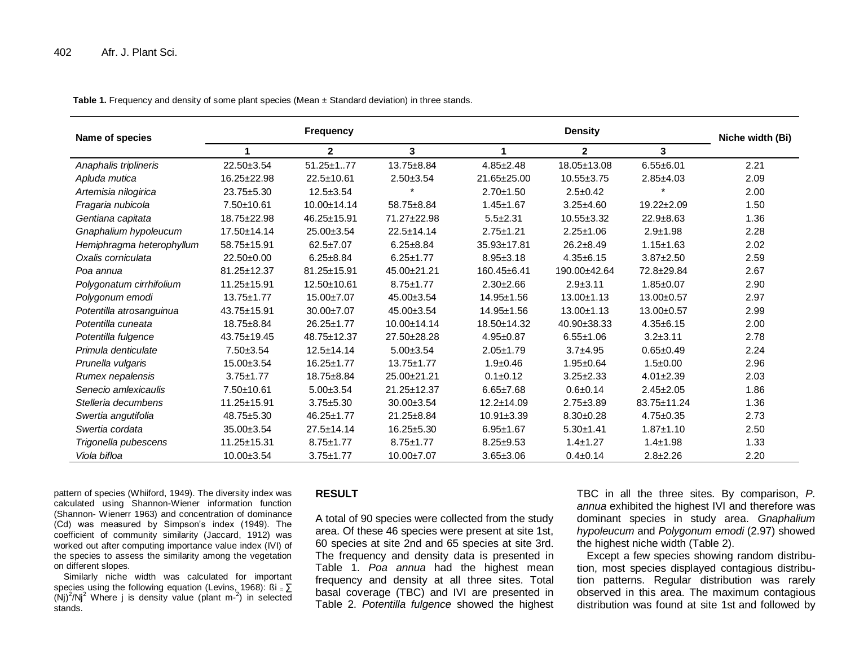**Table 1.** Frequency and density of some plant species (Mean ± Standard deviation) in three stands.

| Name of species           |                  | <b>Frequency</b> |                  |                  | Niche width (Bi) |                  |      |
|---------------------------|------------------|------------------|------------------|------------------|------------------|------------------|------|
|                           | 4                | $\mathbf{2}$     | 3                | 1                | $\mathbf{2}$     | 3                |      |
| Anaphalis triplineris     | 22.50±3.54       | $51.25 \pm 1.77$ | 13.75±8.84       | $4.85 \pm 2.48$  | 18.05±13.08      | $6.55 + 6.01$    | 2.21 |
| Apluda mutica             | 16.25±22.98      | 22.5±10.61       | $2.50 + 3.54$    | 21.65±25.00      | $10.55 \pm 3.75$ | $2.85 + 4.03$    | 2.09 |
| Artemisia nilogirica      | 23.75±5.30       | $12.5 + 3.54$    |                  | $2.70 + 1.50$    | $2.5 \pm 0.42$   |                  | 2.00 |
| Fragaria nubicola         | 7.50±10.61       | 10.00±14.14      | 58.75±8.84       | $1.45 \pm 1.67$  | $3.25 + 4.60$    | $19.22 \pm 2.09$ | 1.50 |
| Gentiana capitata         | 18.75±22.98      | 46.25±15.91      | 71.27±22.98      | $5.5 \pm 2.31$   | $10.55 \pm 3.32$ | $22.9 + 8.63$    | 1.36 |
| Gnaphalium hypoleucum     | 17.50±14.14      | 25.00±3.54       | $22.5 \pm 14.14$ | $2.75 \pm 1.21$  | $2.25 \pm 1.06$  | $2.9 + 1.98$     | 2.28 |
| Hemiphragma heterophyllum | 58.75±15.91      | $62.5 \pm 7.07$  | $6.25 \pm 8.84$  | 35.93±17.81      | $26.2 \pm 8.49$  | $1.15 \pm 1.63$  | 2.02 |
| Oxalis corniculata        | $22.50 \pm 0.00$ | $6.25 \pm 8.84$  | $6.25 \pm 1.77$  | $8.95 \pm 3.18$  | $4.35 + 6.15$    | $3.87 \pm 2.50$  | 2.59 |
| Poa annua                 | 81.25±12.37      | 81.25±15.91      | 45.00±21.21      | 160.45±6.41      | 190.00±42.64     | 72.8±29.84       | 2.67 |
| Polygonatum cirrhifolium  | 11.25±15.91      | 12.50±10.61      | $8.75 \pm 1.77$  | $2.30 \pm 2.66$  | $2.9 + 3.11$     | $1.85 + 0.07$    | 2.90 |
| Polygonum emodi           | $13.75 \pm 1.77$ | 15.00±7.07       | 45.00±3.54       | 14.95±1.56       | 13.00±1.13       | 13.00±0.57       | 2.97 |
| Potentilla atrosanguinua  | 43.75±15.91      | 30.00±7.07       | 45.00±3.54       | 14.95±1.56       | 13.00±1.13       | 13.00±0.57       | 2.99 |
| Potentilla cuneata        | 18.75±8.84       | 26.25±1.77       | 10.00±14.14      | 18.50±14.32      | 40.90±38.33      | $4.35 + 6.15$    | 2.00 |
| Potentilla fulgence       | 43.75±19.45      | 48.75±12.37      | 27.50±28.28      | $4.95 + 0.87$    | $6.55 + 1.06$    | $3.2 + 3.11$     | 2.78 |
| Primula denticulate       | $7.50 + 3.54$    | $12.5 \pm 14.14$ | $5.00 \pm 3.54$  | $2.05 \pm 1.79$  | $3.7 + 4.95$     | $0.65 + 0.49$    | 2.24 |
| Prunella vulgaris         | 15.00±3.54       | 16.25±1.77       | $13.75 \pm 1.77$ | $1.9 + 0.46$     | $1.95 + 0.64$    | $1.5 \pm 0.00$   | 2.96 |
| Rumex nepalensis          | $3.75 \pm 1.77$  | 18.75±8.84       | 25.00±21.21      | $0.1 \pm 0.12$   | $3.25 \pm 2.33$  | $4.01 \pm 2.39$  | 2.03 |
| Senecio amlexicaulis      | 7.50±10.61       | $5.00 \pm 3.54$  | 21.25±12.37      | $6.65 \pm 7.68$  | $0.6 + 0.14$     | $2.45 \pm 2.05$  | 1.86 |
| Stelleria decumbens       | 11.25±15.91      | $3.75 + 5.30$    | 30.00±3.54       | $12.2 \pm 14.09$ | $2.75 \pm 3.89$  | 83.75±11.24      | 1.36 |
| Swertia angutifolia       | 48.75±5.30       | 46.25±1.77       | 21.25±8.84       | $10.91 \pm 3.39$ | $8.30 + 0.28$    | $4.75 \pm 0.35$  | 2.73 |
| Swertia cordata           | 35.00±3.54       | $27.5 \pm 14.14$ | $16.25 \pm 5.30$ | $6.95 + 1.67$    | $5.30 + 1.41$    | $1.87 + 1.10$    | 2.50 |
| Trigonella pubescens      | 11.25±15.31      | $8.75 \pm 1.77$  | $8.75 \pm 1.77$  | $8.25 \pm 9.53$  | $1.4 + 1.27$     | $1.4 + 1.98$     | 1.33 |
| Viola bifloa              | 10.00±3.54       | $3.75 \pm 1.77$  | 10.00±7.07       | $3.65 \pm 3.06$  | $0.4 \pm 0.14$   | $2.8 + 2.26$     | 2.20 |

pattern of species (Whiiford, 1949). The diversity index was calculated using Shannon-Wiener information function (Shannon- Wienerr 1963) and concentration of dominance (Cd) was measured by Simpson's index (1949). The coefficient of community similarity (Jaccard, 1912) was worked out after computing importance value index (IVI) of the species to assess the similarity among the vegetation on different slopes.

Similarly niche width was calculated for important species using the following equation (Levins, 1968): ßi =  $\Sigma$  $(Nj)^2/Nj^2$  Where j is density value (plant m- $^2$ ) in selected stands.

#### **RESULT**

A total of 90 species were collected from the study area. Of these 46 species were present at site 1st, 60 species at site 2nd and 65 species at site 3rd. The frequency and density data is presented in Table 1. *Poa annua* had the highest mean frequency and density at all three sites. Total basal coverage (TBC) and IVI are presented in Table 2. *Potentilla fulgence* showed the highest

TBC in all the three sites. By comparison, *P. annua* exhibited the highest IVI and therefore was dominant species in study area. *Gnaphalium hypoleucum* and *Polygonum emodi* (2.97) showed the highest niche width (Table 2).

Except a few species showing random distribution, most species displayed contagious distribution patterns. Regular distribution was rarely observed in this area. The maximum contagious distribution was found at site 1st and followed by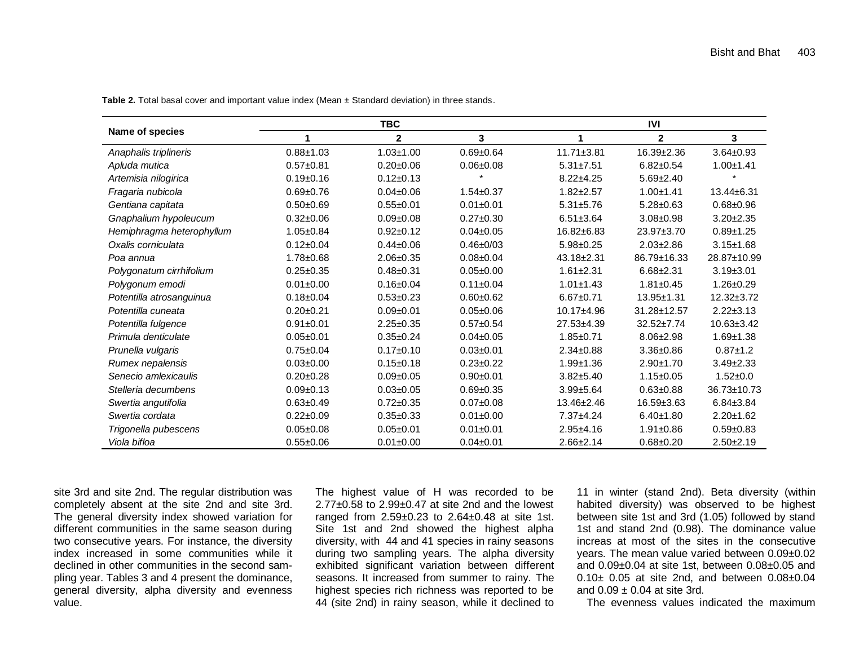|                           |                 | <b>TBC</b>      | IVI             |                  |                  |                  |  |
|---------------------------|-----------------|-----------------|-----------------|------------------|------------------|------------------|--|
| Name of species           |                 | $\mathbf{2}$    | 3               |                  | $\mathbf{2}$     | 3                |  |
| Anaphalis triplineris     | $0.88 + 1.03$   | $1.03 + 1.00$   | $0.69 + 0.64$   | $11.71 \pm 3.81$ | $16.39 \pm 2.36$ | $3.64 \pm 0.93$  |  |
| Apluda mutica             | $0.57 + 0.81$   | $0.20 + 0.06$   | $0.06 + 0.08$   | $5.31 \pm 7.51$  | $6.82 \pm 0.54$  | $1.00 + 1.41$    |  |
| Artemisia nilogirica      | $0.19 + 0.16$   | $0.12 \pm 0.13$ |                 | $8.22 + 4.25$    | $5.69 \pm 2.40$  |                  |  |
| Fragaria nubicola         | $0.69 + 0.76$   | $0.04 \pm 0.06$ | $1.54 \pm 0.37$ | $1.82 + 2.57$    | $1.00 + 1.41$    | 13.44±6.31       |  |
| Gentiana capitata         | $0.50 + 0.69$   | $0.55 + 0.01$   | $0.01 \pm 0.01$ | $5.31 + 5.76$    | $5.28 \pm 0.63$  | $0.68 + 0.96$    |  |
| Gnaphalium hypoleucum     | $0.32 + 0.06$   | $0.09 + 0.08$   | $0.27 + 0.30$   | $6.51 \pm 3.64$  | $3.08 + 0.98$    | $3.20 \pm 2.35$  |  |
| Hemiphragma heterophyllum | $1.05 + 0.84$   | $0.92 + 0.12$   | $0.04 \pm 0.05$ | 16.82±6.83       | 23.97±3.70       | $0.89 + 1.25$    |  |
| Oxalis corniculata        | $0.12 \pm 0.04$ | $0.44 \pm 0.06$ | $0.46 + 0/03$   | $5.98 + 0.25$    | $2.03 \pm 2.86$  | $3.15 \pm 1.68$  |  |
| Poa annua                 | $1.78 + 0.68$   | $2.06 \pm 0.35$ | $0.08 + 0.04$   | $43.18 \pm 2.31$ | 86.79±16.33      | 28.87±10.99      |  |
| Polygonatum cirrhifolium  | $0.25 + 0.35$   | $0.48 + 0.31$   | $0.05 + 0.00$   | $1.61 \pm 2.31$  | $6.68 \pm 2.31$  | $3.19 \pm 3.01$  |  |
| Polygonum emodi           | $0.01 + 0.00$   | $0.16 + 0.04$   | $0.11 \pm 0.04$ | $1.01 \pm 1.43$  | $1.81 \pm 0.45$  | $1.26 + 0.29$    |  |
| Potentilla atrosanguinua  | $0.18 + 0.04$   | $0.53 + 0.23$   | $0.60 + 0.62$   | $6.67 + 0.71$    | 13.95±1.31       | $12.32 \pm 3.72$ |  |
| Potentilla cuneata        | $0.20 + 0.21$   | $0.09 + 0.01$   | $0.05 + 0.06$   | 10.17±4.96       | 31.28±12.57      | $2.22 \pm 3.13$  |  |
| Potentilla fulgence       | $0.91 + 0.01$   | $2.25 \pm 0.35$ | $0.57 + 0.54$   | 27.53±4.39       | $32.52 \pm 7.74$ | $10.63 \pm 3.42$ |  |
| Primula denticulate       | $0.05 + 0.01$   | $0.35 + 0.24$   | $0.04 \pm 0.05$ | $1.85 + 0.71$    | $8.06 \pm 2.98$  | $1.69 + 1.38$    |  |
| Prunella vulgaris         | $0.75 + 0.04$   | $0.17 + 0.10$   | $0.03 + 0.01$   | $2.34 \pm 0.88$  | $3.36 + 0.86$    | $0.87 + 1.2$     |  |
| Rumex nepalensis          | $0.03 + 0.00$   | $0.15 + 0.18$   | $0.23 + 0.22$   | $1.99 + 1.36$    | $2.90 + 1.70$    | $3.49 \pm 2.33$  |  |
| Senecio amlexicaulis      | $0.20 + 0.28$   | $0.09 + 0.05$   | $0.90 + 0.01$   | $3.82 + 5.40$    | $1.15 + 0.05$    | $1.52 + 0.0$     |  |
| Stelleria decumbens       | $0.09 + 0.13$   | $0.03 + 0.05$   | $0.69 + 0.35$   | $3.99 + 5.64$    | $0.63 + 0.88$    | 36.73±10.73      |  |
| Swertia angutifolia       | $0.63 + 0.49$   | $0.72 \pm 0.35$ | $0.07 + 0.08$   | 13.46±2.46       | 16.59±3.63       | $6.84 \pm 3.84$  |  |
| Swertia cordata           | $0.22 + 0.09$   | $0.35 + 0.33$   | $0.01 + 0.00$   | $7.37 + 4.24$    | $6.40 \pm 1.80$  | $2.20 + 1.62$    |  |
| Trigonella pubescens      | $0.05 + 0.08$   | $0.05 + 0.01$   | $0.01 + 0.01$   | $2.95 + 4.16$    | $1.91 \pm 0.86$  | $0.59 + 0.83$    |  |
| Viola bifloa              | $0.55 + 0.06$   | $0.01 + 0.00$   | $0.04 \pm 0.01$ | $2.66 \pm 2.14$  | $0.68 + 0.20$    | $2.50 + 2.19$    |  |

**Table 2.** Total basal cover and important value index (Mean ± Standard deviation) in three stands.

site 3rd and site 2nd. The regular distribution was completely absent at the site 2nd and site 3rd. The general diversity index showed variation for different communities in the same season during two consecutive years. For instance, the diversity index increased in some communities while it declined in other communities in the second sampling year. Tables 3 and 4 present the dominance, general diversity, alpha diversity and evenness value.

The highest value of H was recorded to be  $2.77\pm0.58$  to  $2.99\pm0.47$  at site 2nd and the lowest ranged from 2.59±0.23 to 2.64±0.48 at site 1st. Site 1st and 2nd showed the highest alpha diversity, with 44 and 41 species in rainy seasons during two sampling years. The alpha diversity exhibited significant variation between different seasons. It increased from summer to rainy. The highest species rich richness was reported to be 44 (site 2nd) in rainy season, while it declined to

11 in winter (stand 2nd). Beta diversity (within habited diversity) was observed to be highest between site 1st and 3rd (1.05) followed by stand 1st and stand 2nd (0.98). The dominance value increas at most of the sites in the consecutive years. The mean value varied between 0.09±0.02 and 0.09±0.04 at site 1st, between 0.08±0.05 and 0.10± 0.05 at site 2nd, and between 0.08±0.04 and  $0.09 \pm 0.04$  at site 3rd.

The evenness values indicated the maximum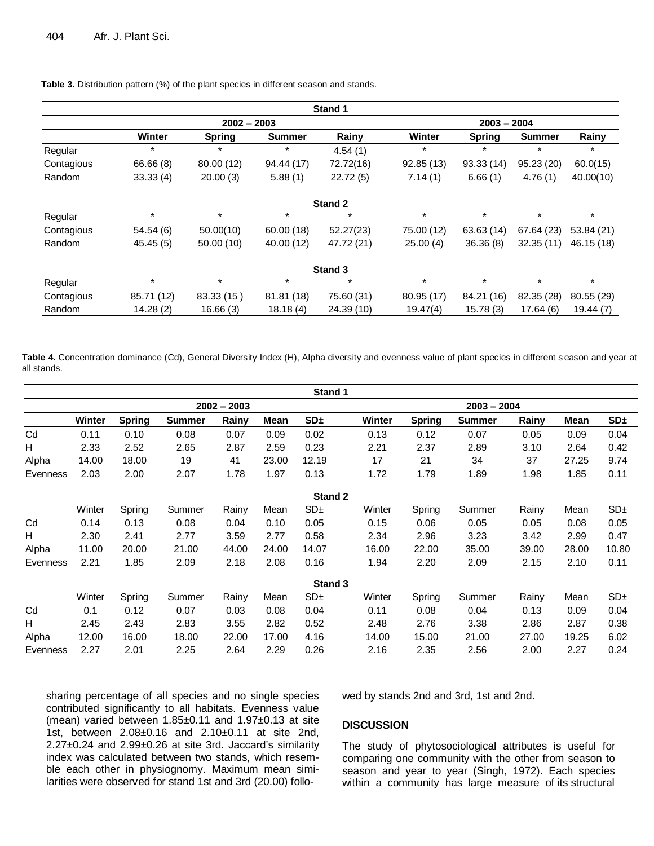|            | Stand 1    |               |               |                |            |               |               |            |  |  |  |
|------------|------------|---------------|---------------|----------------|------------|---------------|---------------|------------|--|--|--|
|            |            | $2002 - 2003$ |               |                |            | $2003 - 2004$ |               |            |  |  |  |
|            | Winter     | <b>Spring</b> | <b>Summer</b> | Rainy          | Winter     | <b>Spring</b> | <b>Summer</b> | Rainy      |  |  |  |
| Regular    | $\star$    | $\star$       | $\star$       | 4.54(1)        | $\star$    | $\star$       | $\star$       | $\star$    |  |  |  |
| Contagious | 66.66 (8)  | 80.00 (12)    | 94.44 (17)    | 72.72(16)      | 92.85(13)  | 93.33(14)     | 95.23 (20)    | 60.0(15)   |  |  |  |
| Random     | 33.33(4)   | 20.00(3)      | 5.88(1)       | 22.72(5)       | 7.14(1)    | 6.66(1)       | 4.76(1)       | 40.00(10)  |  |  |  |
|            |            |               |               | <b>Stand 2</b> |            |               |               |            |  |  |  |
| Regular    | $\star$    | $\star$       | $\ast$        | $\ast$         | $\star$    | $\star$       | $\star$       | $\star$    |  |  |  |
| Contagious | 54.54(6)   | 50.00(10)     | 60.00(18)     | 52.27(23)      | 75.00 (12) | 63.63(14)     | 67.64 (23)    | 53.84 (21) |  |  |  |
| Random     | 45.45(5)   | 50.00(10)     | 40.00 (12)    | 47.72 (21)     | 25.00(4)   | 36.36(8)      | 32.35(11)     | 46.15 (18) |  |  |  |
| Stand 3    |            |               |               |                |            |               |               |            |  |  |  |
| Regular    | $\star$    | $\star$       | $\star$       | $\ast$         | $\star$    | $\ast$        | $\star$       | $\star$    |  |  |  |
| Contagious | 85.71 (12) | 83.33 (15)    | 81.81 (18)    | 75.60 (31)     | 80.95 (17) | 84.21 (16)    | 82.35 (28)    | 80.55 (29) |  |  |  |
| Random     | 14.28(2)   | 16.66(3)      | 18.18(4)      | 24.39 (10)     | 19.47(4)   | 15.78(3)      | 17.64(6)      | 19.44(7)   |  |  |  |

**Table 3.** Distribution pattern (%) of the plant species in different season and stands.

**Table 4.** Concentration dominance (Cd), General Diversity Index (H), Alpha diversity and evenness value of plant species in different s eason and year at all stands.

|          |               |               |               |       |       | Stand 1         |        |               |               |       |       |                 |  |
|----------|---------------|---------------|---------------|-------|-------|-----------------|--------|---------------|---------------|-------|-------|-----------------|--|
|          | $2002 - 2003$ |               |               |       |       |                 |        | $2003 - 2004$ |               |       |       |                 |  |
|          | Winter        | <b>Spring</b> | <b>Summer</b> | Rainy | Mean  | SD <sub>±</sub> | Winter | <b>Spring</b> | <b>Summer</b> | Rainy | Mean  | SD <sub>±</sub> |  |
| Cd       | 0.11          | 0.10          | 0.08          | 0.07  | 0.09  | 0.02            | 0.13   | 0.12          | 0.07          | 0.05  | 0.09  | 0.04            |  |
| н        | 2.33          | 2.52          | 2.65          | 2.87  | 2.59  | 0.23            | 2.21   | 2.37          | 2.89          | 3.10  | 2.64  | 0.42            |  |
| Alpha    | 14.00         | 18.00         | 19            | 41    | 23.00 | 12.19           | 17     | 21            | 34            | 37    | 27.25 | 9.74            |  |
| Evenness | 2.03          | 2.00          | 2.07          | 1.78  | 1.97  | 0.13            | 1.72   | 1.79          | 1.89          | 1.98  | 1.85  | 0.11            |  |
|          |               |               |               |       |       | Stand 2         |        |               |               |       |       |                 |  |
|          | Winter        | Spring        | Summer        | Rainy | Mean  | SD <sub>±</sub> | Winter | Spring        | Summer        | Rainy | Mean  | SD <sub>±</sub> |  |
| Cd       | 0.14          | 0.13          | 0.08          | 0.04  | 0.10  | 0.05            | 0.15   | 0.06          | 0.05          | 0.05  | 0.08  | 0.05            |  |
| H        | 2.30          | 2.41          | 2.77          | 3.59  | 2.77  | 0.58            | 2.34   | 2.96          | 3.23          | 3.42  | 2.99  | 0.47            |  |
| Alpha    | 11.00         | 20.00         | 21.00         | 44.00 | 24.00 | 14.07           | 16.00  | 22.00         | 35.00         | 39.00 | 28.00 | 10.80           |  |
| Evenness | 2.21          | 1.85          | 2.09          | 2.18  | 2.08  | 0.16            | 1.94   | 2.20          | 2.09          | 2.15  | 2.10  | 0.11            |  |
|          |               |               |               |       |       | Stand 3         |        |               |               |       |       |                 |  |
|          | Winter        | Spring        | Summer        | Rainy | Mean  | SD <sub>±</sub> | Winter | Spring        | Summer        | Rainy | Mean  | SD <sub>±</sub> |  |
| Cd       | 0.1           | 0.12          | 0.07          | 0.03  | 0.08  | 0.04            | 0.11   | 0.08          | 0.04          | 0.13  | 0.09  | 0.04            |  |
| H        | 2.45          | 2.43          | 2.83          | 3.55  | 2.82  | 0.52            | 2.48   | 2.76          | 3.38          | 2.86  | 2.87  | 0.38            |  |
| Alpha    | 12.00         | 16.00         | 18.00         | 22.00 | 17.00 | 4.16            | 14.00  | 15.00         | 21.00         | 27.00 | 19.25 | 6.02            |  |
| Evenness | 2.27          | 2.01          | 2.25          | 2.64  | 2.29  | 0.26            | 2.16   | 2.35          | 2.56          | 2.00  | 2.27  | 0.24            |  |

sharing percentage of all species and no single species contributed significantly to all habitats. Evenness value (mean) varied between 1.85±0.11 and 1.97±0.13 at site 1st, between 2.08±0.16 and 2.10±0.11 at site 2nd, 2.27±0.24 and 2.99±0.26 at site 3rd. Jaccard's similarity index was calculated between two stands, which resemble each other in physiognomy. Maximum mean similarities were observed for stand 1st and 3rd (20.00) followed by stands 2nd and 3rd, 1st and 2nd.

## **DISCUSSION**

The study of phytosociological attributes is useful for comparing one community with the other from season to season and year to year (Singh, 1972). Each species within a community has large measure of its structural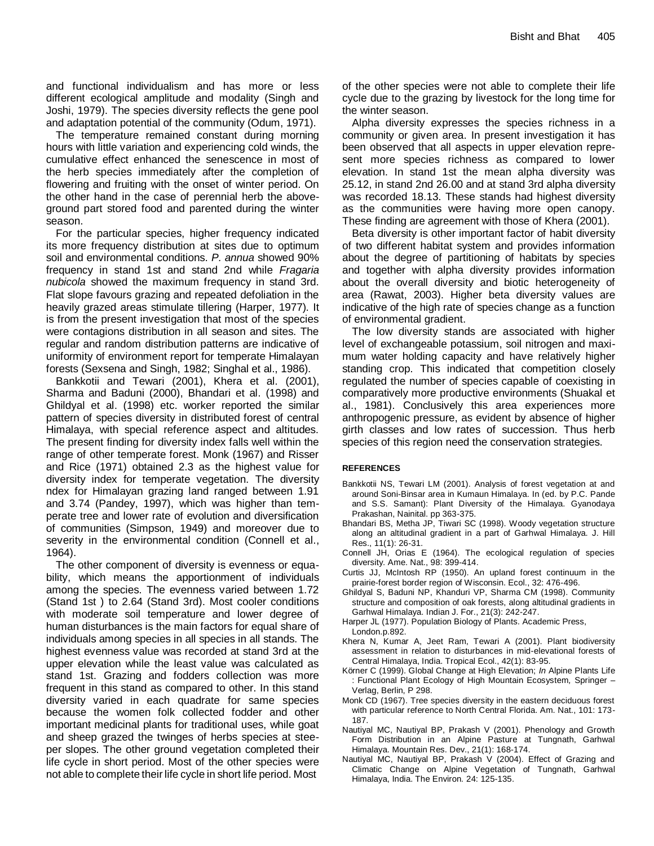and functional individualism and has more or less different ecological amplitude and modality (Singh and Joshi, 1979). The species diversity reflects the gene pool and adaptation potential of the community (Odum, 1971).

The temperature remained constant during morning hours with little variation and experiencing cold winds, the cumulative effect enhanced the senescence in most of the herb species immediately after the completion of flowering and fruiting with the onset of winter period. On the other hand in the case of perennial herb the aboveground part stored food and parented during the winter season.

For the particular species, higher frequency indicated its more frequency distribution at sites due to optimum soil and environmental conditions. *P. annua* showed 90% frequency in stand 1st and stand 2nd while *Fragaria nubicola* showed the maximum frequency in stand 3rd. Flat slope favours grazing and repeated defoliation in the heavily grazed areas stimulate tillering (Harper, 1977). It is from the present investigation that most of the species were contagions distribution in all season and sites. The regular and random distribution patterns are indicative of uniformity of environment report for temperate Himalayan forests (Sexsena and Singh, 1982; Singhal et al., 1986).

Bankkotii and Tewari (2001), Khera et al. (2001), Sharma and Baduni (2000), Bhandari et al. (1998) and Ghildyal et al. (1998) etc. worker reported the similar pattern of species diversity in distributed forest of central Himalaya, with special reference aspect and altitudes. The present finding for diversity index falls well within the range of other temperate forest. Monk (1967) and Risser and Rice (1971) obtained 2.3 as the highest value for diversity index for temperate vegetation. The diversity ndex for Himalayan grazing land ranged between 1.91 and 3.74 (Pandey, 1997), which was higher than temperate tree and lower rate of evolution and diversification of communities (Simpson, 1949) and moreover due to severity in the environmental condition (Connell et al., 1964).

The other component of diversity is evenness or equability, which means the apportionment of individuals among the species. The evenness varied between 1.72 (Stand 1st ) to 2.64 (Stand 3rd). Most cooler conditions with moderate soil temperature and lower degree of human disturbances is the main factors for equal share of individuals among species in all species in all stands. The highest evenness value was recorded at stand 3rd at the upper elevation while the least value was calculated as stand 1st. Grazing and fodders collection was more frequent in this stand as compared to other. In this stand diversity varied in each quadrate for same species because the women folk collected fodder and other important medicinal plants for traditional uses, while goat and sheep grazed the twinges of herbs species at steeper slopes. The other ground vegetation completed their life cycle in short period. Most of the other species were not able to complete their life cycle in short life period. Most

of the other species were not able to complete their life cycle due to the grazing by livestock for the long time for the winter season.

Alpha diversity expresses the species richness in a community or given area. In present investigation it has been observed that all aspects in upper elevation represent more species richness as compared to lower elevation. In stand 1st the mean alpha diversity was 25.12, in stand 2nd 26.00 and at stand 3rd alpha diversity was recorded 18.13. These stands had highest diversity as the communities were having more open canopy. These finding are agreement with those of Khera (2001).

Beta diversity is other important factor of habit diversity of two different habitat system and provides information about the degree of partitioning of habitats by species and together with alpha diversity provides information about the overall diversity and biotic heterogeneity of area (Rawat, 2003). Higher beta diversity values are indicative of the high rate of species change as a function of environmental gradient.

The low diversity stands are associated with higher level of exchangeable potassium, soil nitrogen and maximum water holding capacity and have relatively higher standing crop. This indicated that competition closely regulated the number of species capable of coexisting in comparatively more productive environments (Shuakal et al., 1981). Conclusively this area experiences more anthropogenic pressure, as evident by absence of higher girth classes and low rates of succession. Thus herb species of this region need the conservation strategies.

#### **REFERENCES**

- Bankkotii NS, Tewari LM (2001). Analysis of forest vegetation at and around Soni-Binsar area in Kumaun Himalaya. In (ed. by P.C. Pande and S.S. Samant): Plant Diversity of the Himalaya. Gyanodaya Prakashan, Nainital. pp 363-375.
- Bhandari BS, Metha JP, Tiwari SC (1998). Woody vegetation structure along an altitudinal gradient in a part of Garhwal Himalaya. J. Hill Res., 11(1): 26-31.
- Connell JH, Orias E (1964). The ecological regulation of species diversity. Ame. Nat., 98: 399-414.
- Curtis JJ, McIntosh RP (1950). An upland forest continuum in the prairie-forest border region of Wisconsin. Ecol., 32: 476-496.
- Ghildyal S, Baduni NP, Khanduri VP, Sharma CM (1998). Community structure and composition of oak forests, along altitudinal gradients in Garhwal Himalaya. Indian J. For., 21(3): 242-247.
- Harper JL (1977). Population Biology of Plants*.* Academic Press, London.p.892.
- Khera N, Kumar A, Jeet Ram, Tewari A (2001). Plant biodiversity assessment in relation to disturbances in mid-elevational forests of Central Himalaya, India. Tropical Ecol., 42(1): 83-95.
- Körner C (1999). Global Change at High Elevation; *In* Alpine Plants Life : Functional Plant Ecology of High Mountain Ecosystem*,* Springer – Verlag, Berlin, P 298.
- Monk CD (1967). Tree species diversity in the eastern deciduous forest with particular reference to North Central Florida. Am. Nat., 101: 173- 187.
- Nautiyal MC, Nautiyal BP, Prakash V (2001). Phenology and Growth Form Distribution in an Alpine Pasture at Tungnath, Garhwal Himalaya. Mountain Res. Dev., 21(1): 168-174.
- Nautiyal MC, Nautiyal BP, Prakash V (2004). Effect of Grazing and Climatic Change on Alpine Vegetation of Tungnath, Garhwal Himalaya, India. The Environ*.* 24: 125-135.